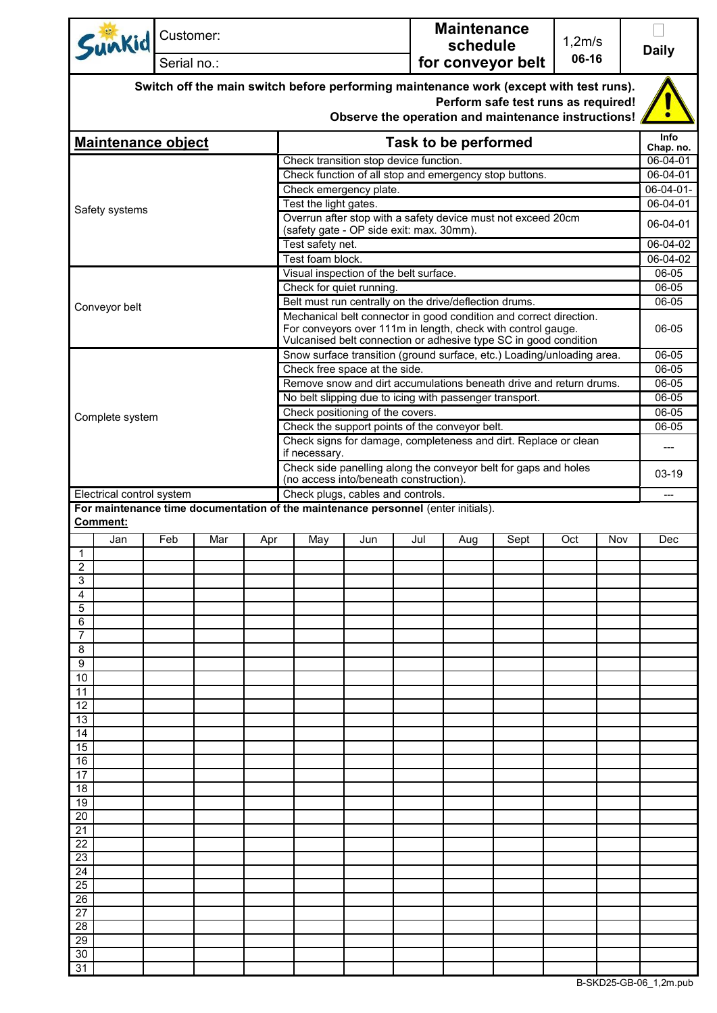| Sunkid                                                                                                                                                                               | Customer:                                                                                                |     |     |                                                                                                                                                                                                        |                            |     | <b>Maintenance</b><br>schedule |             | 1,2m/s |     | <b>Daily</b>          |
|--------------------------------------------------------------------------------------------------------------------------------------------------------------------------------------|----------------------------------------------------------------------------------------------------------|-----|-----|--------------------------------------------------------------------------------------------------------------------------------------------------------------------------------------------------------|----------------------------|-----|--------------------------------|-------------|--------|-----|-----------------------|
| Serial no.:                                                                                                                                                                          |                                                                                                          |     |     |                                                                                                                                                                                                        | 06-16<br>for conveyor belt |     |                                |             |        |     |                       |
| Switch off the main switch before performing maintenance work (except with test runs).<br>Perform safe test runs as required!<br>Observe the operation and maintenance instructions! |                                                                                                          |     |     |                                                                                                                                                                                                        |                            |     |                                |             |        |     |                       |
| <b>Maintenance object</b><br>Task to be performed                                                                                                                                    |                                                                                                          |     |     |                                                                                                                                                                                                        |                            |     |                                | <b>Info</b> |        |     |                       |
|                                                                                                                                                                                      |                                                                                                          |     |     | Check transition stop device function.                                                                                                                                                                 |                            |     |                                |             |        |     | Chap. no.<br>06-04-01 |
|                                                                                                                                                                                      |                                                                                                          |     |     | Check function of all stop and emergency stop buttons.                                                                                                                                                 |                            |     |                                |             |        |     | 06-04-01              |
|                                                                                                                                                                                      | Check emergency plate.                                                                                   |     |     |                                                                                                                                                                                                        |                            |     |                                |             |        |     |                       |
| Safety systems                                                                                                                                                                       | Test the light gates.                                                                                    |     |     |                                                                                                                                                                                                        |                            |     |                                | 06-04-01    |        |     |                       |
|                                                                                                                                                                                      | Overrun after stop with a safety device must not exceed 20cm<br>(safety gate - OP side exit: max. 30mm). |     |     |                                                                                                                                                                                                        |                            |     |                                | 06-04-01    |        |     |                       |
|                                                                                                                                                                                      | Test safety net.                                                                                         |     |     |                                                                                                                                                                                                        |                            |     |                                | 06-04-02    |        |     |                       |
|                                                                                                                                                                                      |                                                                                                          |     |     | Test foam block.                                                                                                                                                                                       |                            |     |                                |             |        |     | 06-04-02              |
|                                                                                                                                                                                      |                                                                                                          |     |     | Visual inspection of the belt surface.                                                                                                                                                                 |                            |     |                                |             |        |     | 06-05                 |
|                                                                                                                                                                                      |                                                                                                          |     |     | Check for quiet running.<br>Belt must run centrally on the drive/deflection drums.                                                                                                                     |                            |     |                                |             |        |     | 06-05<br>06-05        |
| Conveyor belt                                                                                                                                                                        |                                                                                                          |     |     |                                                                                                                                                                                                        |                            |     |                                |             |        |     |                       |
|                                                                                                                                                                                      |                                                                                                          |     |     | Mechanical belt connector in good condition and correct direction.<br>For conveyors over 111m in length, check with control gauge.<br>Vulcanised belt connection or adhesive type SC in good condition |                            |     |                                |             |        |     | 06-05                 |
|                                                                                                                                                                                      |                                                                                                          |     |     | Snow surface transition (ground surface, etc.) Loading/unloading area.                                                                                                                                 |                            |     |                                |             |        |     | 06-05                 |
|                                                                                                                                                                                      |                                                                                                          |     |     | Check free space at the side.<br>Remove snow and dirt accumulations beneath drive and return drums.                                                                                                    |                            |     |                                |             |        |     | 06-05<br>06-05        |
|                                                                                                                                                                                      |                                                                                                          |     |     |                                                                                                                                                                                                        |                            |     |                                |             |        |     | 06-05                 |
| Complete system                                                                                                                                                                      | No belt slipping due to icing with passenger transport.<br>Check positioning of the covers.              |     |     |                                                                                                                                                                                                        |                            |     | 06-05                          |             |        |     |                       |
|                                                                                                                                                                                      |                                                                                                          |     |     | Check the support points of the conveyor belt.                                                                                                                                                         |                            |     |                                |             |        |     | 06-05                 |
| Check signs for damage, completeness and dirt. Replace or clean<br>if necessary.                                                                                                     |                                                                                                          |     |     |                                                                                                                                                                                                        |                            |     |                                |             |        |     |                       |
| Check side panelling along the conveyor belt for gaps and holes<br>(no access into/beneath construction).                                                                            |                                                                                                          |     |     |                                                                                                                                                                                                        |                            |     | 03-19                          |             |        |     |                       |
|                                                                                                                                                                                      | Check plugs, cables and controls.<br>Electrical control system                                           |     |     |                                                                                                                                                                                                        |                            |     |                                | ---         |        |     |                       |
| <b>Comment:</b>                                                                                                                                                                      | For maintenance time documentation of the maintenance personnel (enter initials).                        |     |     |                                                                                                                                                                                                        |                            |     |                                |             |        |     |                       |
| Jan                                                                                                                                                                                  | Feb                                                                                                      | Mar | Apr | May                                                                                                                                                                                                    | Jun                        | Jul | Aug                            | Sept        | Oct    | Nov | Dec                   |
| $\mathbf{1}$                                                                                                                                                                         |                                                                                                          |     |     |                                                                                                                                                                                                        |                            |     |                                |             |        |     |                       |
| 2<br>3                                                                                                                                                                               |                                                                                                          |     |     |                                                                                                                                                                                                        |                            |     |                                |             |        |     |                       |
| 4                                                                                                                                                                                    |                                                                                                          |     |     |                                                                                                                                                                                                        |                            |     |                                |             |        |     |                       |
| 5                                                                                                                                                                                    |                                                                                                          |     |     |                                                                                                                                                                                                        |                            |     |                                |             |        |     |                       |
| 6<br>7                                                                                                                                                                               |                                                                                                          |     |     |                                                                                                                                                                                                        |                            |     |                                |             |        |     |                       |
| 8                                                                                                                                                                                    |                                                                                                          |     |     |                                                                                                                                                                                                        |                            |     |                                |             |        |     |                       |
| 9                                                                                                                                                                                    |                                                                                                          |     |     |                                                                                                                                                                                                        |                            |     |                                |             |        |     |                       |
| 10                                                                                                                                                                                   |                                                                                                          |     |     |                                                                                                                                                                                                        |                            |     |                                |             |        |     |                       |
| 11                                                                                                                                                                                   |                                                                                                          |     |     |                                                                                                                                                                                                        |                            |     |                                |             |        |     |                       |
| 12<br>13                                                                                                                                                                             |                                                                                                          |     |     |                                                                                                                                                                                                        |                            |     |                                |             |        |     |                       |
| 14                                                                                                                                                                                   |                                                                                                          |     |     |                                                                                                                                                                                                        |                            |     |                                |             |        |     |                       |
| 15                                                                                                                                                                                   |                                                                                                          |     |     |                                                                                                                                                                                                        |                            |     |                                |             |        |     |                       |
| 16                                                                                                                                                                                   |                                                                                                          |     |     |                                                                                                                                                                                                        |                            |     |                                |             |        |     |                       |
| 17<br>18                                                                                                                                                                             |                                                                                                          |     |     |                                                                                                                                                                                                        |                            |     |                                |             |        |     |                       |
| 19                                                                                                                                                                                   |                                                                                                          |     |     |                                                                                                                                                                                                        |                            |     |                                |             |        |     |                       |
| 20                                                                                                                                                                                   |                                                                                                          |     |     |                                                                                                                                                                                                        |                            |     |                                |             |        |     |                       |
| 21                                                                                                                                                                                   |                                                                                                          |     |     |                                                                                                                                                                                                        |                            |     |                                |             |        |     |                       |
| 22<br>23                                                                                                                                                                             |                                                                                                          |     |     |                                                                                                                                                                                                        |                            |     |                                |             |        |     |                       |
| 24                                                                                                                                                                                   |                                                                                                          |     |     |                                                                                                                                                                                                        |                            |     |                                |             |        |     |                       |
| 25                                                                                                                                                                                   |                                                                                                          |     |     |                                                                                                                                                                                                        |                            |     |                                |             |        |     |                       |
| 26                                                                                                                                                                                   |                                                                                                          |     |     |                                                                                                                                                                                                        |                            |     |                                |             |        |     |                       |
| 27<br>28                                                                                                                                                                             |                                                                                                          |     |     |                                                                                                                                                                                                        |                            |     |                                |             |        |     |                       |
| 29                                                                                                                                                                                   |                                                                                                          |     |     |                                                                                                                                                                                                        |                            |     |                                |             |        |     |                       |
| 30                                                                                                                                                                                   |                                                                                                          |     |     |                                                                                                                                                                                                        |                            |     |                                |             |        |     |                       |
| 31                                                                                                                                                                                   |                                                                                                          |     |     |                                                                                                                                                                                                        |                            |     |                                |             |        |     |                       |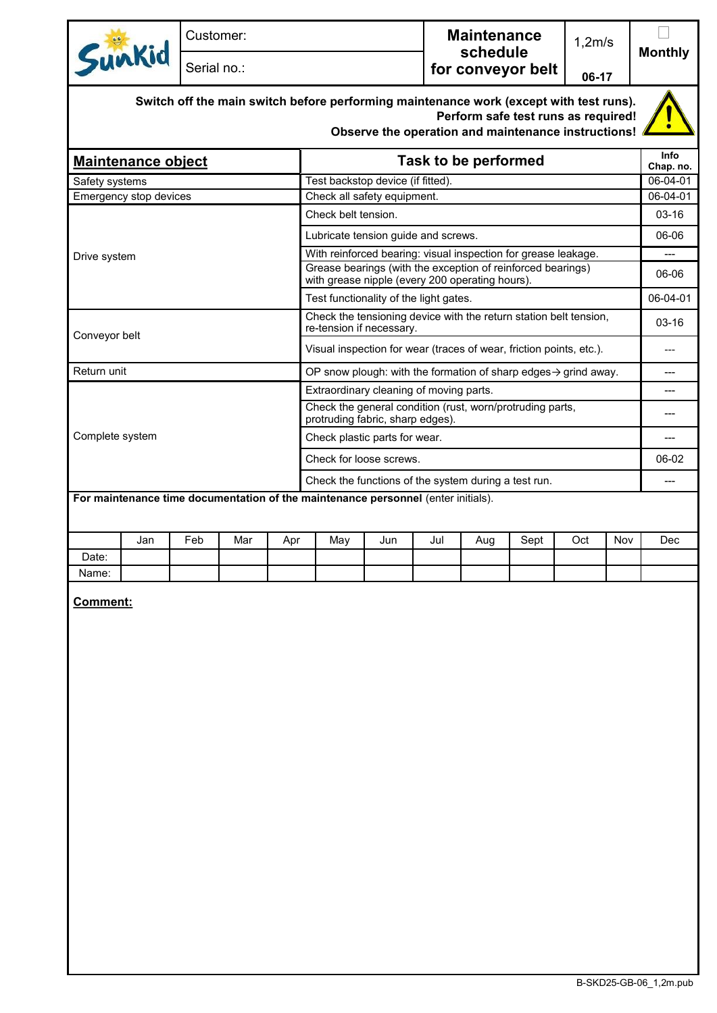|                                                                                                                                                                                      |     | Customer:   |     |                                                                                                                |                                                                                               |     |     | <b>Maintenance</b><br>schedule |      |       | 1,2m/s   | <b>Monthly</b>           |
|--------------------------------------------------------------------------------------------------------------------------------------------------------------------------------------|-----|-------------|-----|----------------------------------------------------------------------------------------------------------------|-----------------------------------------------------------------------------------------------|-----|-----|--------------------------------|------|-------|----------|--------------------------|
| Sunkid                                                                                                                                                                               |     | Serial no.: |     |                                                                                                                | for conveyor belt<br>06-17                                                                    |     |     |                                |      |       |          |                          |
| Switch off the main switch before performing maintenance work (except with test runs).<br>Perform safe test runs as required!<br>Observe the operation and maintenance instructions! |     |             |     |                                                                                                                |                                                                                               |     |     |                                |      |       |          |                          |
| <b>Maintenance object</b>                                                                                                                                                            |     |             |     |                                                                                                                | <b>Task to be performed</b>                                                                   |     |     |                                |      |       |          | <b>Info</b><br>Chap. no. |
| Safety systems                                                                                                                                                                       |     |             |     |                                                                                                                | Test backstop device (if fitted).                                                             |     |     |                                |      |       |          | 06-04-01                 |
| Emergency stop devices                                                                                                                                                               |     |             |     |                                                                                                                | Check all safety equipment.                                                                   |     |     |                                |      |       |          | 06-04-01                 |
|                                                                                                                                                                                      |     |             |     |                                                                                                                | Check belt tension.                                                                           |     |     |                                |      |       |          | $03 - 16$                |
|                                                                                                                                                                                      |     |             |     |                                                                                                                | Lubricate tension guide and screws.                                                           |     |     |                                |      |       | 06-06    |                          |
| Drive system                                                                                                                                                                         |     |             |     |                                                                                                                | With reinforced bearing: visual inspection for grease leakage.                                |     |     |                                |      |       |          |                          |
|                                                                                                                                                                                      |     |             |     | Grease bearings (with the exception of reinforced bearings)<br>with grease nipple (every 200 operating hours). |                                                                                               |     |     |                                |      | 06-06 |          |                          |
|                                                                                                                                                                                      |     |             |     |                                                                                                                | Test functionality of the light gates.                                                        |     |     |                                |      |       | 06-04-01 |                          |
| Conveyor belt                                                                                                                                                                        |     |             |     | Check the tensioning device with the return station belt tension,<br>re-tension if necessary.                  |                                                                                               |     |     |                                |      | 03-16 |          |                          |
|                                                                                                                                                                                      |     |             |     |                                                                                                                | Visual inspection for wear (traces of wear, friction points, etc.).                           |     |     |                                |      |       | $---$    |                          |
| Return unit                                                                                                                                                                          |     |             |     |                                                                                                                | OP snow plough: with the formation of sharp edges $\rightarrow$ grind away.                   |     |     |                                |      |       | ---      |                          |
|                                                                                                                                                                                      |     |             |     |                                                                                                                | Extraordinary cleaning of moving parts.                                                       |     |     |                                |      |       | ---      |                          |
|                                                                                                                                                                                      |     |             |     |                                                                                                                | Check the general condition (rust, worn/protruding parts,<br>protruding fabric, sharp edges). |     |     |                                |      |       | ---      |                          |
| Complete system                                                                                                                                                                      |     |             |     |                                                                                                                | Check plastic parts for wear.                                                                 |     |     |                                |      |       |          |                          |
|                                                                                                                                                                                      |     |             |     |                                                                                                                | Check for loose screws.                                                                       |     |     |                                |      |       | 06-02    |                          |
|                                                                                                                                                                                      |     |             |     |                                                                                                                | Check the functions of the system during a test run.                                          |     |     |                                |      |       |          |                          |
| For maintenance time documentation of the maintenance personnel (enter initials).                                                                                                    |     |             |     |                                                                                                                |                                                                                               |     |     |                                |      |       |          |                          |
|                                                                                                                                                                                      | Jan | Feb         | Mar | Apr                                                                                                            | May                                                                                           | Jun | Jul | Aug                            | Sept | Oct   | Nov      | Dec                      |
| Date:                                                                                                                                                                                |     |             |     |                                                                                                                |                                                                                               |     |     |                                |      |       |          |                          |
| Name:                                                                                                                                                                                |     |             |     |                                                                                                                |                                                                                               |     |     |                                |      |       |          |                          |

**Comment:**